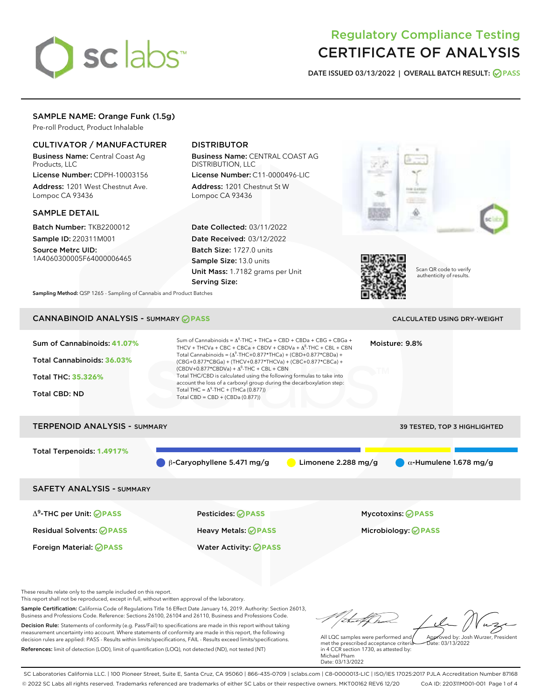# sclabs<sup>\*</sup>

# Regulatory Compliance Testing CERTIFICATE OF ANALYSIS

DATE ISSUED 03/13/2022 | OVERALL BATCH RESULT: @ PASS

# SAMPLE NAME: Orange Funk (1.5g)

Pre-roll Product, Product Inhalable

# CULTIVATOR / MANUFACTURER

Business Name: Central Coast Ag Products, LLC

License Number: CDPH-10003156 Address: 1201 West Chestnut Ave. Lompoc CA 93436

#### SAMPLE DETAIL

Batch Number: TKB2200012 Sample ID: 220311M001

Source Metrc UID: 1A4060300005F64000006465

# DISTRIBUTOR

Business Name: CENTRAL COAST AG DISTRIBUTION, LLC

License Number: C11-0000496-LIC Address: 1201 Chestnut St W Lompoc CA 93436

Date Collected: 03/11/2022 Date Received: 03/12/2022 Batch Size: 1727.0 units Sample Size: 13.0 units Unit Mass: 1.7182 grams per Unit Serving Size:





Scan QR code to verify authenticity of results.

Sampling Method: QSP 1265 - Sampling of Cannabis and Product Batches

# CANNABINOID ANALYSIS - SUMMARY **PASS** CALCULATED USING DRY-WEIGHT

# Sum of Cannabinoids: **41.07%** Total Cannabinoids: **36.03%** Total THC: **35.326%** Total CBD: ND Sum of Cannabinoids =  $\Delta^9$ -THC + THCa + CBD + CBDa + CBG + CBGa + THCV + THCVa + CBC + CBCa + CBDV + CBDVa +  $\Delta^8$ -THC + CBL + CBN Total Cannabinoids = ( $\Delta^9$ -THC+0.877\*THCa) + (CBD+0.877\*CBDa) + (CBG+0.877\*CBGa) + (THCV+0.877\*THCVa) + (CBC+0.877\*CBCa) +  $(CBDV+0.877*CBDVa) + \Delta^8$ -THC + CBL + CBN Total THC/CBD is calculated using the following formulas to take into account the loss of a carboxyl group during the decarboxylation step: Total THC =  $\Delta^9$ -THC + (THCa (0.877)) Total CBD = CBD + (CBDa (0.877)) Moisture: 9.8% TERPENOID ANALYSIS - SUMMARY 39 TESTED, TOP 3 HIGHLIGHTED Total Terpenoids: **1.4917%**  $\theta$  β-Caryophyllene 5.471 mg/g  $\theta$  Limonene 2.288 mg/g  $\theta$  α-Humulene 1.678 mg/g SAFETY ANALYSIS - SUMMARY Δ9-THC per Unit: **PASS** Pesticides: **PASS** Mycotoxins: **PASS** Residual Solvents: **PASS** Heavy Metals: **PASS** Microbiology: **PASS** Foreign Material: **PASS** Water Activity: **PASS**

These results relate only to the sample included on this report.

This report shall not be reproduced, except in full, without written approval of the laboratory.

Sample Certification: California Code of Regulations Title 16 Effect Date January 16, 2019. Authority: Section 26013, Business and Professions Code. Reference: Sections 26100, 26104 and 26110, Business and Professions Code. Decision Rule: Statements of conformity (e.g. Pass/Fail) to specifications are made in this report without taking measurement uncertainty into account. Where statements of conformity are made in this report, the following decision rules are applied: PASS - Results within limits/specifications, FAIL - Results exceed limits/specifications.

References: limit of detection (LOD), limit of quantification (LOQ), not detected (ND), not tested (NT)

Approved by: Josh Wurzer, President

 $\frac{1}{2}$ ate: 03/13/2022

All LQC samples were performed and met the prescribed acceptance criteria in 4 CCR section 1730, as attested by: Michael Pham Date: 03/13/2022

SC Laboratories California LLC. | 100 Pioneer Street, Suite E, Santa Cruz, CA 95060 | 866-435-0709 | sclabs.com | C8-0000013-LIC | ISO/IES 17025:2017 PJLA Accreditation Number 87168 © 2022 SC Labs all rights reserved. Trademarks referenced are trademarks of either SC Labs or their respective owners. MKT00162 REV6 12/20 CoA ID: 220311M001-001 Page 1 of 4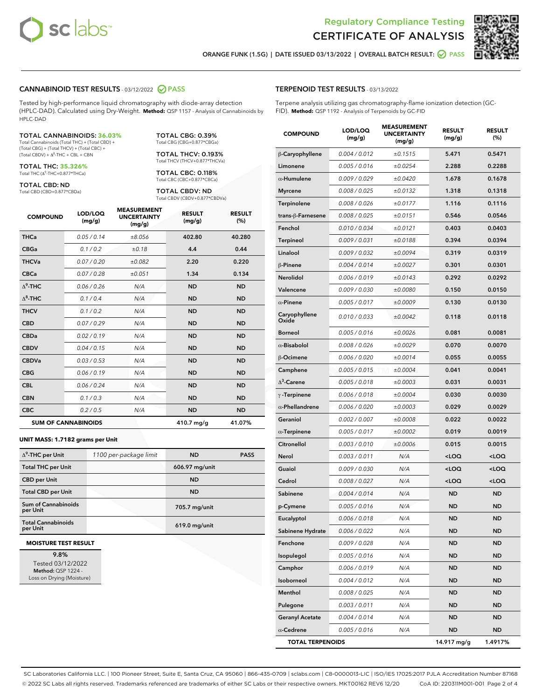



ORANGE FUNK (1.5G) | DATE ISSUED 03/13/2022 | OVERALL BATCH RESULT:  $\bigcirc$  PASS

#### CANNABINOID TEST RESULTS - 03/12/2022 2 PASS

Tested by high-performance liquid chromatography with diode-array detection (HPLC-DAD). Calculated using Dry-Weight. **Method:** QSP 1157 - Analysis of Cannabinoids by HPLC-DAD

#### TOTAL CANNABINOIDS: **36.03%**

Total Cannabinoids (Total THC) + (Total CBD) + (Total CBG) + (Total THCV) + (Total CBC) +  $(Total CBDV) +  $\Delta^8$ -THC + CBL + CBN$ 

TOTAL THC: **35.326%** Total THC (Δ<sup>9</sup> -THC+0.877\*THCa)

TOTAL CBD: ND Total CBD (CBD+0.877\*CBDa)

TOTAL CBG: 0.39% Total CBG (CBG+0.877\*CBGa)

TOTAL THCV: 0.193% Total THCV (THCV+0.877\*THCVa)

TOTAL CBC: 0.118% Total CBC (CBC+0.877\*CBCa)

TOTAL CBDV: ND Total CBDV (CBDV+0.877\*CBDVa)

| <b>COMPOUND</b>  | LOD/LOO<br>(mg/g)          | <b>MEASUREMENT</b><br><b>UNCERTAINTY</b><br>(mg/g) | <b>RESULT</b><br>(mg/g) | <b>RESULT</b><br>(%) |
|------------------|----------------------------|----------------------------------------------------|-------------------------|----------------------|
| <b>THCa</b>      | 0.05/0.14                  | ±8.056                                             | 402.80                  | 40.280               |
| <b>CBGa</b>      | 0.1 / 0.2                  | ±0.18                                              | 4.4                     | 0.44                 |
| <b>THCVa</b>     | 0.07 / 0.20                | ±0.082                                             | 2.20                    | 0.220                |
| <b>CBCa</b>      | 0.07/0.28                  | ±0.051                                             | 1.34                    | 0.134                |
| $\Lambda^9$ -THC | 0.06/0.26                  | N/A                                                | <b>ND</b>               | <b>ND</b>            |
| $\Delta^8$ -THC  | 0.1 / 0.4                  | N/A                                                | <b>ND</b>               | <b>ND</b>            |
| <b>THCV</b>      | 0.1/0.2                    | N/A                                                | <b>ND</b>               | <b>ND</b>            |
| <b>CBD</b>       | 0.07/0.29                  | N/A                                                | <b>ND</b>               | <b>ND</b>            |
| <b>CBDa</b>      | 0.02/0.19                  | N/A                                                | <b>ND</b>               | <b>ND</b>            |
| <b>CBDV</b>      | 0.04/0.15                  | N/A                                                | <b>ND</b>               | <b>ND</b>            |
| <b>CBDVa</b>     | 0.03/0.53                  | N/A                                                | <b>ND</b>               | <b>ND</b>            |
| <b>CBG</b>       | 0.06/0.19                  | N/A                                                | <b>ND</b>               | <b>ND</b>            |
| <b>CBL</b>       | 0.06 / 0.24                | N/A                                                | <b>ND</b>               | <b>ND</b>            |
| <b>CBN</b>       | 0.1/0.3                    | N/A                                                | <b>ND</b>               | <b>ND</b>            |
| <b>CBC</b>       | 0.2 / 0.5                  | N/A                                                | <b>ND</b>               | <b>ND</b>            |
|                  | <b>SUM OF CANNABINOIDS</b> |                                                    | 410.7 mg/g              | 41.07%               |

#### **UNIT MASS: 1.7182 grams per Unit**

| $\Delta^9$ -THC per Unit               | 1100 per-package limit | <b>ND</b>      | <b>PASS</b> |
|----------------------------------------|------------------------|----------------|-------------|
| <b>Total THC per Unit</b>              |                        | 606.97 mg/unit |             |
| <b>CBD per Unit</b>                    |                        | <b>ND</b>      |             |
| <b>Total CBD per Unit</b>              |                        | <b>ND</b>      |             |
| <b>Sum of Cannabinoids</b><br>per Unit |                        | 705.7 mg/unit  |             |
| <b>Total Cannabinoids</b><br>per Unit  |                        | 619.0 mg/unit  |             |

#### **MOISTURE TEST RESULT**

9.8% Tested 03/12/2022 Method: QSP 1224 - Loss on Drying (Moisture)

#### TERPENOID TEST RESULTS - 03/13/2022

Terpene analysis utilizing gas chromatography-flame ionization detection (GC-FID). **Method:** QSP 1192 - Analysis of Terpenoids by GC-FID

| <b>COMPOUND</b>         | LOD/LOQ<br>(mg/g) | <b>MEASUREMENT</b><br><b>UNCERTAINTY</b><br>(mg/g) | <b>RESULT</b><br>(mg/g)                         | <b>RESULT</b><br>(%) |
|-------------------------|-------------------|----------------------------------------------------|-------------------------------------------------|----------------------|
| β-Caryophyllene         | 0.004 / 0.012     | ±0.1515                                            | 5.471                                           | 0.5471               |
| Limonene                | 0.005 / 0.016     | ±0.0254                                            | 2.288                                           | 0.2288               |
| $\alpha$ -Humulene      | 0.009/0.029       | ±0.0420                                            | 1.678                                           | 0.1678               |
| <b>Myrcene</b>          | 0.008 / 0.025     | ±0.0132                                            | 1.318                                           | 0.1318               |
| <b>Terpinolene</b>      | 0.008 / 0.026     | ±0.0177                                            | 1.116                                           | 0.1116               |
| trans-β-Farnesene       | 0.008 / 0.025     | ±0.0151                                            | 0.546                                           | 0.0546               |
| Fenchol                 | 0.010 / 0.034     | ±0.0121                                            | 0.403                                           | 0.0403               |
| Terpineol               | 0.009 / 0.031     | ±0.0188                                            | 0.394                                           | 0.0394               |
| Linalool                | 0.009 / 0.032     | ±0.0094                                            | 0.319                                           | 0.0319               |
| β-Pinene                | 0.004 / 0.014     | ±0.0027                                            | 0.301                                           | 0.0301               |
| Nerolidol               | 0.006 / 0.019     | ±0.0143                                            | 0.292                                           | 0.0292               |
| Valencene               | 0.009 / 0.030     | ±0.0080                                            | 0.150                                           | 0.0150               |
| $\alpha$ -Pinene        | 0.005 / 0.017     | ±0.0009                                            | 0.130                                           | 0.0130               |
| Caryophyllene<br>Oxide  | 0.010 / 0.033     | ±0.0042                                            | 0.118                                           | 0.0118               |
| Borneol                 | 0.005 / 0.016     | ±0.0026                                            | 0.081                                           | 0.0081               |
| $\alpha$ -Bisabolol     | 0.008 / 0.026     | ±0.0029                                            | 0.070                                           | 0.0070               |
| β-Ocimene               | 0.006 / 0.020     | ±0.0014                                            | 0.055                                           | 0.0055               |
| Camphene                | 0.005 / 0.015     | ±0.0004                                            | 0.041                                           | 0.0041               |
| $\Delta^3$ -Carene      | 0.005 / 0.018     | ±0.0003                                            | 0.031                                           | 0.0031               |
| $\gamma$ -Terpinene     | 0.006 / 0.018     | ±0.0004                                            | 0.030                                           | 0.0030               |
| $\alpha$ -Phellandrene  | 0.006 / 0.020     | ±0.0003                                            | 0.029                                           | 0.0029               |
| Geraniol                | 0.002 / 0.007     | ±0.0008                                            | 0.022                                           | 0.0022               |
| $\alpha$ -Terpinene     | 0.005 / 0.017     | ±0.0002                                            | 0.019                                           | 0.0019               |
| Citronellol             | 0.003 / 0.010     | ±0.0006                                            | 0.015                                           | 0.0015               |
| Nerol                   | 0.003 / 0.011     | N/A                                                | <loq< th=""><th><loq< th=""></loq<></th></loq<> | <loq< th=""></loq<>  |
| Guaiol                  | 0.009 / 0.030     | N/A                                                | <loq< th=""><th><loq< th=""></loq<></th></loq<> | <loq< th=""></loq<>  |
| Cedrol                  | 0.008 / 0.027     | N/A                                                | <loq< th=""><th><loq< th=""></loq<></th></loq<> | <loq< th=""></loq<>  |
| Sabinene                | 0.004 / 0.014     | N/A                                                | <b>ND</b>                                       | <b>ND</b>            |
| p-Cymene                | 0.005 / 0.016     | N/A                                                | <b>ND</b>                                       | ND                   |
| Eucalyptol              | 0.006 / 0.018     | N/A                                                | <b>ND</b>                                       | <b>ND</b>            |
| Sabinene Hydrate        | 0.006 / 0.022     | N/A                                                | ND                                              | ND                   |
| Fenchone                | 0.009 / 0.028     | N/A                                                | ND                                              | ND                   |
| Isopulegol              | 0.005 / 0.016     | N/A                                                | ND                                              | ND                   |
| Camphor                 | 0.006 / 0.019     | N/A                                                | ND                                              | ND                   |
| Isoborneol              | 0.004 / 0.012     | N/A                                                | ND                                              | ND                   |
| Menthol                 | 0.008 / 0.025     | N/A                                                | ND                                              | ND                   |
| Pulegone                | 0.003 / 0.011     | N/A                                                | ND                                              | ND                   |
| <b>Geranyl Acetate</b>  | 0.004 / 0.014     | N/A                                                | ND                                              | ND                   |
| $\alpha$ -Cedrene       | 0.005 / 0.016     | N/A                                                | ND                                              | <b>ND</b>            |
| <b>TOTAL TERPENOIDS</b> |                   |                                                    | 14.917 mg/g                                     | 1.4917%              |

SC Laboratories California LLC. | 100 Pioneer Street, Suite E, Santa Cruz, CA 95060 | 866-435-0709 | sclabs.com | C8-0000013-LIC | ISO/IES 17025:2017 PJLA Accreditation Number 87168 © 2022 SC Labs all rights reserved. Trademarks referenced are trademarks of either SC Labs or their respective owners. MKT00162 REV6 12/20 CoA ID: 220311M001-001 Page 2 of 4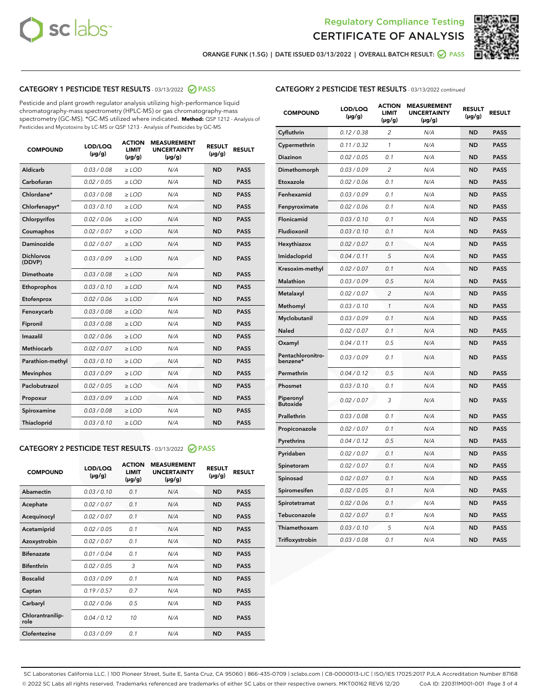



ORANGE FUNK (1.5G) | DATE ISSUED 03/13/2022 | OVERALL BATCH RESULT: @ PASS

# CATEGORY 1 PESTICIDE TEST RESULTS - 03/13/2022 2 PASS

Pesticide and plant growth regulator analysis utilizing high-performance liquid chromatography-mass spectrometry (HPLC-MS) or gas chromatography-mass spectrometry (GC-MS). \*GC-MS utilized where indicated. **Method:** QSP 1212 - Analysis of Pesticides and Mycotoxins by LC-MS or QSP 1213 - Analysis of Pesticides by GC-MS

| 0.03 / 0.08<br>$\geq$ LOD<br><b>ND</b><br><b>PASS</b><br>Aldicarb<br>N/A<br>Carbofuran<br>0.02/0.05<br>$>$ LOD<br>N/A<br><b>ND</b><br><b>PASS</b><br>Chlordane*<br>0.03 / 0.08<br>N/A<br><b>ND</b><br><b>PASS</b><br>$\ge$ LOD<br>Chlorfenapyr*<br>0.03/0.10<br>N/A<br><b>ND</b><br><b>PASS</b><br>$\ge$ LOD<br>0.02/0.06<br>N/A<br><b>ND</b><br><b>PASS</b><br>Chlorpyrifos<br>$>$ LOD<br>0.02 / 0.07<br><b>PASS</b><br>Coumaphos<br>$\ge$ LOD<br>N/A<br><b>ND</b><br>Daminozide<br>0.02 / 0.07<br><b>PASS</b><br>$\ge$ LOD<br>N/A<br><b>ND</b><br><b>Dichlorvos</b><br>0.03/0.09<br>$\ge$ LOD<br>N/A<br><b>ND</b><br><b>PASS</b><br>(DDVP)<br>0.03/0.08<br><b>ND</b><br>Dimethoate<br>$>$ LOD<br>N/A<br><b>PASS</b><br>0.03/0.10<br><b>ND</b><br><b>PASS</b><br>Ethoprophos<br>$>$ LOD<br>N/A<br>0.02 / 0.06<br>N/A<br><b>ND</b><br><b>PASS</b><br>Etofenprox<br>$\ge$ LOD<br>N/A<br>0.03/0.08<br><b>ND</b><br><b>PASS</b><br>Fenoxycarb<br>$\ge$ LOD<br>0.03/0.08<br>N/A<br><b>ND</b><br><b>PASS</b><br>Fipronil<br>$\ge$ LOD<br>Imazalil<br>0.02 / 0.06<br><b>ND</b><br><b>PASS</b><br>$>$ LOD<br>N/A<br><b>Methiocarb</b><br>0.02 / 0.07<br>$\ge$ LOD<br>N/A<br><b>ND</b><br><b>PASS</b><br>Parathion-methyl<br>0.03/0.10<br>$>$ LOD<br>N/A<br><b>ND</b><br><b>PASS</b><br>0.03/0.09<br>N/A<br><b>ND</b><br><b>PASS</b><br><b>Mevinphos</b><br>$\ge$ LOD<br>Paclobutrazol<br>0.02 / 0.05<br>N/A<br><b>ND</b><br><b>PASS</b><br>$\geq$ LOD<br>0.03/0.09<br>$>$ LOD<br>N/A<br><b>ND</b><br><b>PASS</b><br>Propoxur<br>0.03 / 0.08<br>$\ge$ LOD<br>N/A<br><b>ND</b><br><b>PASS</b><br>Spiroxamine<br>0.03/0.10<br>$\ge$ LOD<br>N/A<br><b>ND</b><br><b>PASS</b><br>Thiacloprid | <b>COMPOUND</b> | LOD/LOQ<br>$(\mu g/g)$ | <b>ACTION</b><br>LIMIT<br>$(\mu g/g)$ | <b>MEASUREMENT</b><br><b>UNCERTAINTY</b><br>$(\mu g/g)$ | <b>RESULT</b><br>$(\mu g/g)$ | <b>RESULT</b> |
|---------------------------------------------------------------------------------------------------------------------------------------------------------------------------------------------------------------------------------------------------------------------------------------------------------------------------------------------------------------------------------------------------------------------------------------------------------------------------------------------------------------------------------------------------------------------------------------------------------------------------------------------------------------------------------------------------------------------------------------------------------------------------------------------------------------------------------------------------------------------------------------------------------------------------------------------------------------------------------------------------------------------------------------------------------------------------------------------------------------------------------------------------------------------------------------------------------------------------------------------------------------------------------------------------------------------------------------------------------------------------------------------------------------------------------------------------------------------------------------------------------------------------------------------------------------------------------------------------------------------------------------------------------------------------------|-----------------|------------------------|---------------------------------------|---------------------------------------------------------|------------------------------|---------------|
|                                                                                                                                                                                                                                                                                                                                                                                                                                                                                                                                                                                                                                                                                                                                                                                                                                                                                                                                                                                                                                                                                                                                                                                                                                                                                                                                                                                                                                                                                                                                                                                                                                                                                 |                 |                        |                                       |                                                         |                              |               |
|                                                                                                                                                                                                                                                                                                                                                                                                                                                                                                                                                                                                                                                                                                                                                                                                                                                                                                                                                                                                                                                                                                                                                                                                                                                                                                                                                                                                                                                                                                                                                                                                                                                                                 |                 |                        |                                       |                                                         |                              |               |
|                                                                                                                                                                                                                                                                                                                                                                                                                                                                                                                                                                                                                                                                                                                                                                                                                                                                                                                                                                                                                                                                                                                                                                                                                                                                                                                                                                                                                                                                                                                                                                                                                                                                                 |                 |                        |                                       |                                                         |                              |               |
|                                                                                                                                                                                                                                                                                                                                                                                                                                                                                                                                                                                                                                                                                                                                                                                                                                                                                                                                                                                                                                                                                                                                                                                                                                                                                                                                                                                                                                                                                                                                                                                                                                                                                 |                 |                        |                                       |                                                         |                              |               |
|                                                                                                                                                                                                                                                                                                                                                                                                                                                                                                                                                                                                                                                                                                                                                                                                                                                                                                                                                                                                                                                                                                                                                                                                                                                                                                                                                                                                                                                                                                                                                                                                                                                                                 |                 |                        |                                       |                                                         |                              |               |
|                                                                                                                                                                                                                                                                                                                                                                                                                                                                                                                                                                                                                                                                                                                                                                                                                                                                                                                                                                                                                                                                                                                                                                                                                                                                                                                                                                                                                                                                                                                                                                                                                                                                                 |                 |                        |                                       |                                                         |                              |               |
|                                                                                                                                                                                                                                                                                                                                                                                                                                                                                                                                                                                                                                                                                                                                                                                                                                                                                                                                                                                                                                                                                                                                                                                                                                                                                                                                                                                                                                                                                                                                                                                                                                                                                 |                 |                        |                                       |                                                         |                              |               |
|                                                                                                                                                                                                                                                                                                                                                                                                                                                                                                                                                                                                                                                                                                                                                                                                                                                                                                                                                                                                                                                                                                                                                                                                                                                                                                                                                                                                                                                                                                                                                                                                                                                                                 |                 |                        |                                       |                                                         |                              |               |
|                                                                                                                                                                                                                                                                                                                                                                                                                                                                                                                                                                                                                                                                                                                                                                                                                                                                                                                                                                                                                                                                                                                                                                                                                                                                                                                                                                                                                                                                                                                                                                                                                                                                                 |                 |                        |                                       |                                                         |                              |               |
|                                                                                                                                                                                                                                                                                                                                                                                                                                                                                                                                                                                                                                                                                                                                                                                                                                                                                                                                                                                                                                                                                                                                                                                                                                                                                                                                                                                                                                                                                                                                                                                                                                                                                 |                 |                        |                                       |                                                         |                              |               |
|                                                                                                                                                                                                                                                                                                                                                                                                                                                                                                                                                                                                                                                                                                                                                                                                                                                                                                                                                                                                                                                                                                                                                                                                                                                                                                                                                                                                                                                                                                                                                                                                                                                                                 |                 |                        |                                       |                                                         |                              |               |
|                                                                                                                                                                                                                                                                                                                                                                                                                                                                                                                                                                                                                                                                                                                                                                                                                                                                                                                                                                                                                                                                                                                                                                                                                                                                                                                                                                                                                                                                                                                                                                                                                                                                                 |                 |                        |                                       |                                                         |                              |               |
|                                                                                                                                                                                                                                                                                                                                                                                                                                                                                                                                                                                                                                                                                                                                                                                                                                                                                                                                                                                                                                                                                                                                                                                                                                                                                                                                                                                                                                                                                                                                                                                                                                                                                 |                 |                        |                                       |                                                         |                              |               |
|                                                                                                                                                                                                                                                                                                                                                                                                                                                                                                                                                                                                                                                                                                                                                                                                                                                                                                                                                                                                                                                                                                                                                                                                                                                                                                                                                                                                                                                                                                                                                                                                                                                                                 |                 |                        |                                       |                                                         |                              |               |
|                                                                                                                                                                                                                                                                                                                                                                                                                                                                                                                                                                                                                                                                                                                                                                                                                                                                                                                                                                                                                                                                                                                                                                                                                                                                                                                                                                                                                                                                                                                                                                                                                                                                                 |                 |                        |                                       |                                                         |                              |               |
|                                                                                                                                                                                                                                                                                                                                                                                                                                                                                                                                                                                                                                                                                                                                                                                                                                                                                                                                                                                                                                                                                                                                                                                                                                                                                                                                                                                                                                                                                                                                                                                                                                                                                 |                 |                        |                                       |                                                         |                              |               |
|                                                                                                                                                                                                                                                                                                                                                                                                                                                                                                                                                                                                                                                                                                                                                                                                                                                                                                                                                                                                                                                                                                                                                                                                                                                                                                                                                                                                                                                                                                                                                                                                                                                                                 |                 |                        |                                       |                                                         |                              |               |
|                                                                                                                                                                                                                                                                                                                                                                                                                                                                                                                                                                                                                                                                                                                                                                                                                                                                                                                                                                                                                                                                                                                                                                                                                                                                                                                                                                                                                                                                                                                                                                                                                                                                                 |                 |                        |                                       |                                                         |                              |               |
|                                                                                                                                                                                                                                                                                                                                                                                                                                                                                                                                                                                                                                                                                                                                                                                                                                                                                                                                                                                                                                                                                                                                                                                                                                                                                                                                                                                                                                                                                                                                                                                                                                                                                 |                 |                        |                                       |                                                         |                              |               |
|                                                                                                                                                                                                                                                                                                                                                                                                                                                                                                                                                                                                                                                                                                                                                                                                                                                                                                                                                                                                                                                                                                                                                                                                                                                                                                                                                                                                                                                                                                                                                                                                                                                                                 |                 |                        |                                       |                                                         |                              |               |
|                                                                                                                                                                                                                                                                                                                                                                                                                                                                                                                                                                                                                                                                                                                                                                                                                                                                                                                                                                                                                                                                                                                                                                                                                                                                                                                                                                                                                                                                                                                                                                                                                                                                                 |                 |                        |                                       |                                                         |                              |               |

#### CATEGORY 2 PESTICIDE TEST RESULTS - 03/13/2022 @ PASS

| <b>COMPOUND</b>          | LOD/LOQ<br>$(\mu g/g)$ | <b>ACTION</b><br><b>LIMIT</b><br>$(\mu g/g)$ | <b>MEASUREMENT</b><br><b>UNCERTAINTY</b><br>$(\mu g/g)$ | <b>RESULT</b><br>$(\mu g/g)$ | <b>RESULT</b> |
|--------------------------|------------------------|----------------------------------------------|---------------------------------------------------------|------------------------------|---------------|
| Abamectin                | 0.03/0.10              | 0.1                                          | N/A                                                     | <b>ND</b>                    | <b>PASS</b>   |
| Acephate                 | 0.02/0.07              | 0.1                                          | N/A                                                     | <b>ND</b>                    | <b>PASS</b>   |
| Acequinocyl              | 0.02/0.07              | 0.1                                          | N/A                                                     | <b>ND</b>                    | <b>PASS</b>   |
| Acetamiprid              | 0.02/0.05              | 0.1                                          | N/A                                                     | <b>ND</b>                    | <b>PASS</b>   |
| Azoxystrobin             | 0.02 / 0.07            | 0.1                                          | N/A                                                     | <b>ND</b>                    | <b>PASS</b>   |
| <b>Bifenazate</b>        | 0.01/0.04              | 0.1                                          | N/A                                                     | <b>ND</b>                    | <b>PASS</b>   |
| <b>Bifenthrin</b>        | 0.02 / 0.05            | 3                                            | N/A                                                     | <b>ND</b>                    | <b>PASS</b>   |
| <b>Boscalid</b>          | 0.03/0.09              | 0.1                                          | N/A                                                     | <b>ND</b>                    | <b>PASS</b>   |
| Captan                   | 0.19/0.57              | 0.7                                          | N/A                                                     | <b>ND</b>                    | <b>PASS</b>   |
| Carbaryl                 | 0.02/0.06              | 0.5                                          | N/A                                                     | <b>ND</b>                    | <b>PASS</b>   |
| Chlorantranilip-<br>role | 0.04/0.12              | 10                                           | N/A                                                     | <b>ND</b>                    | <b>PASS</b>   |
| Clofentezine             | 0.03/0.09              | 0.1                                          | N/A                                                     | <b>ND</b>                    | <b>PASS</b>   |

#### CATEGORY 2 PESTICIDE TEST RESULTS - 03/13/2022 continued

| <b>COMPOUND</b>               | LOD/LOQ<br>(µg/g) | <b>ACTION</b><br><b>LIMIT</b><br>(µg/g) | <b>MEASUREMENT</b><br><b>UNCERTAINTY</b><br>$(\mu g/g)$ | <b>RESULT</b><br>(µg/g) | <b>RESULT</b> |
|-------------------------------|-------------------|-----------------------------------------|---------------------------------------------------------|-------------------------|---------------|
| Cyfluthrin                    | 0.12 / 0.38       | $\overline{c}$                          | N/A                                                     | <b>ND</b>               | <b>PASS</b>   |
| Cypermethrin                  | 0.11 / 0.32       | $\mathcal{I}$                           | N/A                                                     | <b>ND</b>               | <b>PASS</b>   |
| <b>Diazinon</b>               | 0.02 / 0.05       | 0.1                                     | N/A                                                     | <b>ND</b>               | <b>PASS</b>   |
| Dimethomorph                  | 0.03 / 0.09       | $\overline{2}$                          | N/A                                                     | <b>ND</b>               | <b>PASS</b>   |
| Etoxazole                     | 0.02 / 0.06       | 0.1                                     | N/A                                                     | <b>ND</b>               | <b>PASS</b>   |
| Fenhexamid                    | 0.03 / 0.09       | 0.1                                     | N/A                                                     | <b>ND</b>               | <b>PASS</b>   |
| Fenpyroximate                 | 0.02 / 0.06       | 0.1                                     | N/A                                                     | <b>ND</b>               | <b>PASS</b>   |
| Flonicamid                    | 0.03 / 0.10       | 0.1                                     | N/A                                                     | <b>ND</b>               | <b>PASS</b>   |
| Fludioxonil                   | 0.03 / 0.10       | 0.1                                     | N/A                                                     | <b>ND</b>               | <b>PASS</b>   |
| Hexythiazox                   | 0.02 / 0.07       | 0.1                                     | N/A                                                     | <b>ND</b>               | <b>PASS</b>   |
| Imidacloprid                  | 0.04 / 0.11       | 5                                       | N/A                                                     | <b>ND</b>               | <b>PASS</b>   |
| Kresoxim-methyl               | 0.02 / 0.07       | 0.1                                     | N/A                                                     | <b>ND</b>               | <b>PASS</b>   |
| Malathion                     | 0.03 / 0.09       | 0.5                                     | N/A                                                     | <b>ND</b>               | <b>PASS</b>   |
| Metalaxyl                     | 0.02 / 0.07       | $\overline{c}$                          | N/A                                                     | <b>ND</b>               | <b>PASS</b>   |
| Methomyl                      | 0.03 / 0.10       | $\mathbf{1}$                            | N/A                                                     | <b>ND</b>               | <b>PASS</b>   |
| Myclobutanil                  | 0.03 / 0.09       | 0.1                                     | N/A                                                     | <b>ND</b>               | <b>PASS</b>   |
| <b>Naled</b>                  | 0.02 / 0.07       | 0.1                                     | N/A                                                     | <b>ND</b>               | <b>PASS</b>   |
| Oxamyl                        | 0.04 / 0.11       | 0.5                                     | N/A                                                     | <b>ND</b>               | <b>PASS</b>   |
| Pentachloronitro-<br>benzene* | 0.03 / 0.09       | 0.1                                     | N/A                                                     | <b>ND</b>               | <b>PASS</b>   |
| Permethrin                    | 0.04/0.12         | 0.5                                     | N/A                                                     | <b>ND</b>               | <b>PASS</b>   |
| Phosmet                       | 0.03 / 0.10       | 0.1                                     | N/A                                                     | <b>ND</b>               | <b>PASS</b>   |
| Piperonyl<br><b>Butoxide</b>  | 0.02 / 0.07       | 3                                       | N/A                                                     | <b>ND</b>               | <b>PASS</b>   |
| Prallethrin                   | 0.03 / 0.08       | 0.1                                     | N/A                                                     | <b>ND</b>               | <b>PASS</b>   |
| Propiconazole                 | 0.02 / 0.07       | 0.1                                     | N/A                                                     | <b>ND</b>               | <b>PASS</b>   |
| Pyrethrins                    | 0.04 / 0.12       | 0.5                                     | N/A                                                     | <b>ND</b>               | <b>PASS</b>   |
| Pyridaben                     | 0.02 / 0.07       | 0.1                                     | N/A                                                     | <b>ND</b>               | <b>PASS</b>   |
| Spinetoram                    | 0.02 / 0.07       | 0.1                                     | N/A                                                     | <b>ND</b>               | <b>PASS</b>   |
| Spinosad                      | 0.02 / 0.07       | 0.1                                     | N/A                                                     | <b>ND</b>               | <b>PASS</b>   |
| Spiromesifen                  | 0.02 / 0.05       | 0.1                                     | N/A                                                     | <b>ND</b>               | <b>PASS</b>   |
| Spirotetramat                 | 0.02 / 0.06       | 0.1                                     | N/A                                                     | <b>ND</b>               | <b>PASS</b>   |
| Tebuconazole                  | 0.02 / 0.07       | 0.1                                     | N/A                                                     | <b>ND</b>               | <b>PASS</b>   |
| Thiamethoxam                  | 0.03 / 0.10       | 5                                       | N/A                                                     | ND                      | <b>PASS</b>   |
| Trifloxystrobin               | 0.03 / 0.08       | 0.1                                     | N/A                                                     | <b>ND</b>               | <b>PASS</b>   |

SC Laboratories California LLC. | 100 Pioneer Street, Suite E, Santa Cruz, CA 95060 | 866-435-0709 | sclabs.com | C8-0000013-LIC | ISO/IES 17025:2017 PJLA Accreditation Number 87168 © 2022 SC Labs all rights reserved. Trademarks referenced are trademarks of either SC Labs or their respective owners. MKT00162 REV6 12/20 CoA ID: 220311M001-001 Page 3 of 4